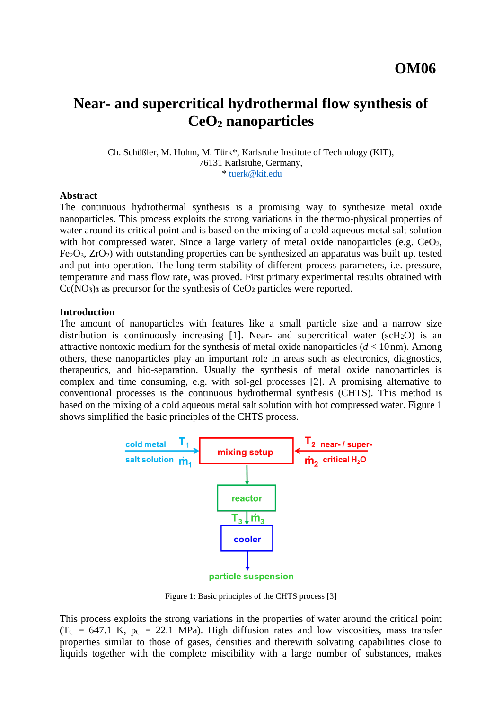# **Near- and supercritical hydrothermal flow synthesis of CeO<sup>2</sup> nanoparticles**

Ch. Schüßler, M. Hohm, M. Türk\*, Karlsruhe Institute of Technology (KIT), 76131 Karlsruhe, Germany, \* [tuerk@kit.edu](mailto:tuerk@kit.edu)

#### **Abstract**

The continuous hydrothermal synthesis is a promising way to synthesize metal oxide nanoparticles. This process exploits the strong variations in the thermo-physical properties of water around its critical point and is based on the mixing of a cold aqueous metal salt solution with hot compressed water. Since a large variety of metal oxide nanoparticles (e.g.  $CeO<sub>2</sub>$ , Fe2O3, ZrO2) with outstanding properties can be synthesized an apparatus was built up, tested and put into operation. The long-term stability of different process parameters, i.e. pressure, temperature and mass flow rate, was proved. First primary experimental results obtained with Ce(NO**3**)**<sup>3</sup>** as precursor for the synthesis of CeO**<sup>2</sup>** particles were reported.

#### **Introduction**

The amount of nanoparticles with features like a small particle size and a narrow size distribution is continuously increasing [1]. Near- and supercritical water ( $scH<sub>2</sub>O$ ) is an attractive nontoxic medium for the synthesis of metal oxide nanoparticles (*d* < 10nm). Among others, these nanoparticles play an important role in areas such as electronics, diagnostics, therapeutics, and bio-separation. Usually the synthesis of metal oxide nanoparticles is complex and time consuming, e.g. with sol-gel processes [2]. A promising alternative to conventional processes is the continuous hydrothermal synthesis (CHTS). This method is based on the mixing of a cold aqueous metal salt solution with hot compressed water. Figure 1 shows simplified the basic principles of the CHTS process.



Figure 1: Basic principles of the CHTS process [3]

This process exploits the strong variations in the properties of water around the critical point  $(T_{C} = 647.1 \text{ K}, p_{C} = 22.1 \text{ MPa})$ . High diffusion rates and low viscosities, mass transfer properties similar to those of gases, densities and therewith solvating capabilities close to liquids together with the complete miscibility with a large number of substances, makes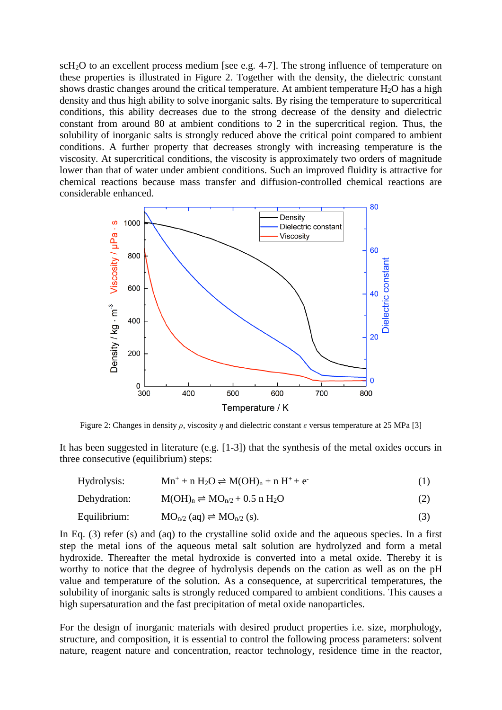scH<sub>2</sub>O to an excellent process medium [see e.g. 4-7]. The strong influence of temperature on these properties is illustrated in Figure 2. Together with the density, the dielectric constant shows drastic changes around the critical temperature. At ambient temperature  $H_2O$  has a high density and thus high ability to solve inorganic salts. By rising the temperature to supercritical conditions, this ability decreases due to the strong decrease of the density and dielectric constant from around 80 at ambient conditions to 2 in the supercritical region. Thus, the solubility of inorganic salts is strongly reduced above the critical point compared to ambient conditions. A further property that decreases strongly with increasing temperature is the viscosity. At supercritical conditions, the viscosity is approximately two orders of magnitude lower than that of water under ambient conditions. Such an improved fluidity is attractive for chemical reactions because mass transfer and diffusion-controlled chemical reactions are considerable enhanced.



Figure 2: Changes in density *ρ*, viscosity *η* and dielectric constant *ε* versus temperature at 25 MPa [3]

It has been suggested in literature (e.g. [1-3]) that the synthesis of the metal oxides occurs in three consecutive (equilibrium) steps:

| Hydrolysis:  | $Mn^+ + n H_2O \rightleftharpoons M(OH)n + n H^+ + e^-$        |  |
|--------------|----------------------------------------------------------------|--|
| Dehydration: | $M(OH)_n \rightleftharpoons MO_{n/2} + 0.5$ n H <sub>2</sub> O |  |

$$
Equilibrium: \qquad MO_{n/2} (aq) \rightleftharpoons MO_{n/2} (s). \tag{3}
$$

In Eq. (3) refer (s) and (aq) to the crystalline solid oxide and the aqueous species. In a first step the metal ions of the aqueous metal salt solution are hydrolyzed and form a metal hydroxide. Thereafter the metal hydroxide is converted into a metal oxide. Thereby it is worthy to notice that the degree of hydrolysis depends on the cation as well as on the pH value and temperature of the solution. As a consequence, at supercritical temperatures, the solubility of inorganic salts is strongly reduced compared to ambient conditions. This causes a high supersaturation and the fast precipitation of metal oxide nanoparticles.

For the design of inorganic materials with desired product properties i.e. size, morphology, structure, and composition, it is essential to control the following process parameters: solvent nature, reagent nature and concentration, reactor technology, residence time in the reactor,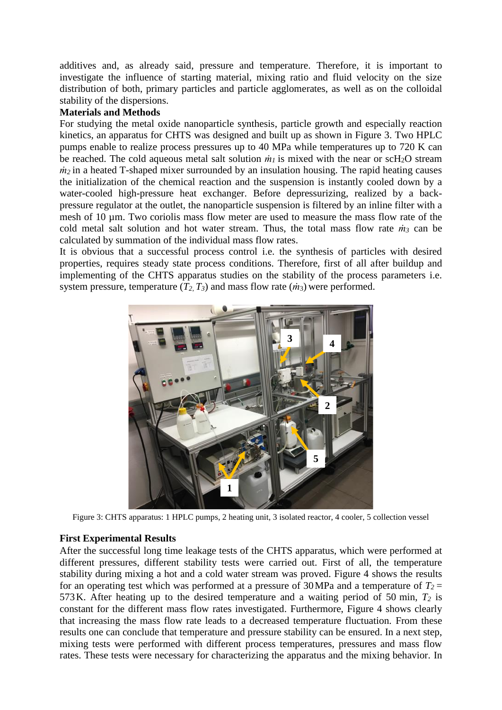additives and, as already said, pressure and temperature. Therefore, it is important to investigate the influence of starting material, mixing ratio and fluid velocity on the size distribution of both, primary particles and particle agglomerates, as well as on the colloidal stability of the dispersions.

### **Materials and Methods**

For studying the metal oxide nanoparticle synthesis, particle growth and especially reaction kinetics, an apparatus for CHTS was designed and built up as shown in Figure 3. Two HPLC pumps enable to realize process pressures up to 40 MPa while temperatures up to 720 K can be reached. The cold aqueous metal salt solution  $\dot{m}_l$  is mixed with the near or scH<sub>2</sub>O stream  $m_2$  in a heated T-shaped mixer surrounded by an insulation housing. The rapid heating causes the initialization of the chemical reaction and the suspension is instantly cooled down by a water-cooled high-pressure heat exchanger. Before depressurizing, realized by a backpressure regulator at the outlet, the nanoparticle suspension is filtered by an inline filter with a mesh of 10 µm. Two coriolis mass flow meter are used to measure the mass flow rate of the cold metal salt solution and hot water stream. Thus, the total mass flow rate *ṁ<sup>3</sup>* can be calculated by summation of the individual mass flow rates.

It is obvious that a successful process control i.e. the synthesis of particles with desired properties, requires steady state process conditions. Therefore, first of all after buildup and implementing of the CHTS apparatus studies on the stability of the process parameters i.e. system pressure, temperature  $(T_2, T_3)$  and mass flow rate  $(m_3)$  were performed.



Figure 3: CHTS apparatus: 1 HPLC pumps, 2 heating unit, 3 isolated reactor, 4 cooler, 5 collection vessel

# **First Experimental Results**

After the successful long time leakage tests of the CHTS apparatus, which were performed at different pressures, different stability tests were carried out. First of all, the temperature stability during mixing a hot and a cold water stream was proved. Figure 4 shows the results for an operating test which was performed at a pressure of 30 MPa and a temperature of  $T_2$  = 573K. After heating up to the desired temperature and a waiting period of 50 min, *T<sup>2</sup>* is constant for the different mass flow rates investigated. Furthermore, Figure 4 shows clearly that increasing the mass flow rate leads to a decreased temperature fluctuation. From these results one can conclude that temperature and pressure stability can be ensured. In a next step, mixing tests were performed with different process temperatures, pressures and mass flow rates. These tests were necessary for characterizing the apparatus and the mixing behavior. In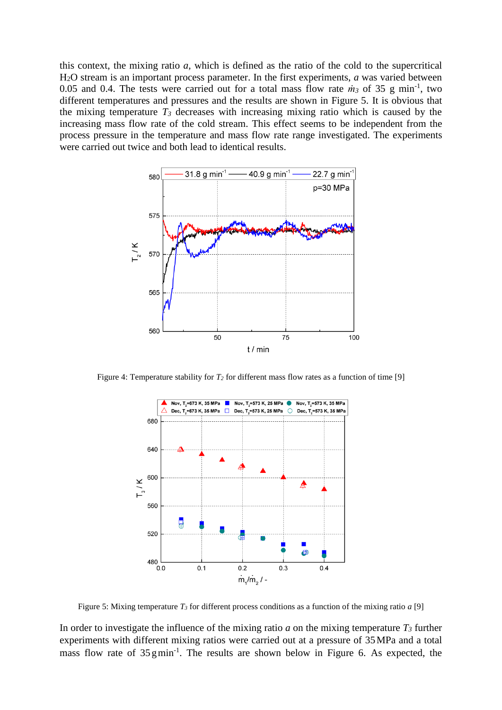this context, the mixing ratio *a,* which is defined as the ratio of the cold to the supercritical H2O stream is an important process parameter. In the first experiments, *a* was varied between 0.05 and 0.4. The tests were carried out for a total mass flow rate  $\dot{m}_3$  of 35 g min<sup>-1</sup>, two different temperatures and pressures and the results are shown in Figure 5. It is obvious that the mixing temperature  $T_3$  decreases with increasing mixing ratio which is caused by the increasing mass flow rate of the cold stream. This effect seems to be independent from the process pressure in the temperature and mass flow rate range investigated. The experiments were carried out twice and both lead to identical results.



Figure 4: Temperature stability for *T<sup>2</sup>* for different mass flow rates as a function of time [9]



Figure 5: Mixing temperature  $T_3$  for different process conditions as a function of the mixing ratio *a* [9]

In order to investigate the influence of the mixing ratio *a* on the mixing temperature  $T_3$  further experiments with different mixing ratios were carried out at a pressure of 35MPa and a total mass flow rate of  $35 \text{ g min}^{-1}$ . The results are shown below in Figure 6. As expected, the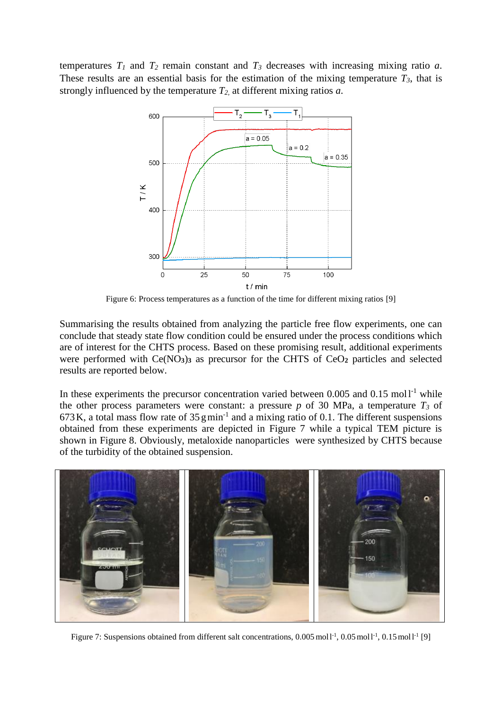temperatures  $T_1$  and  $T_2$  remain constant and  $T_3$  decreases with increasing mixing ratio *a*. These results are an essential basis for the estimation of the mixing temperature  $T_3$ , that is strongly influenced by the temperature *T2*, at different mixing ratios *a*.



Figure 6: Process temperatures as a function of the time for different mixing ratios [9]

Summarising the results obtained from analyzing the particle free flow experiments, one can conclude that steady state flow condition could be ensured under the process conditions which are of interest for the CHTS process. Based on these promising result, additional experiments were performed with Ce(NO**3**)**<sup>3</sup>** as precursor for the CHTS of CeO**<sup>2</sup>** particles and selected results are reported below.

In these experiments the precursor concentration varied between  $0.005$  and  $0.15$  moll<sup>-1</sup> while the other process parameters were constant: a pressure  $p$  of 30 MPa, a temperature  $T_3$  of  $673$  K, a total mass flow rate of  $35$  gmin<sup>-1</sup> and a mixing ratio of 0.1. The different suspensions obtained from these experiments are depicted in Figure 7 while a typical TEM picture is shown in Figure 8. Obviously, metaloxide nanoparticles were synthesized by CHTS because of the turbidity of the obtained suspension.



Figure 7: Suspensions obtained from different salt concentrations, 0.005 mol1<sup>-1</sup>, 0.05 mol1<sup>-1</sup>, 0.15 mol1<sup>-1</sup> [9]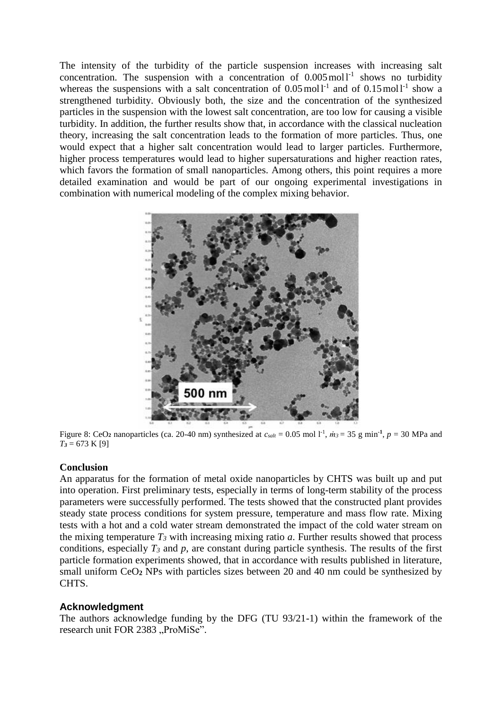The intensity of the turbidity of the particle suspension increases with increasing salt concentration. The suspension with a concentration of  $0.005 \text{ mol}^{-1}$  shows no turbidity whereas the suspensions with a salt concentration of  $0.05 \text{ mol}^{-1}$  and of  $0.15 \text{ mol}^{-1}$  show a strengthened turbidity. Obviously both, the size and the concentration of the synthesized particles in the suspension with the lowest salt concentration, are too low for causing a visible turbidity. In addition, the further results show that, in accordance with the classical nucleation theory, increasing the salt concentration leads to the formation of more particles. Thus, one would expect that a higher salt concentration would lead to larger particles. Furthermore, higher process temperatures would lead to higher supersaturations and higher reaction rates, which favors the formation of small nanoparticles. Among others, this point requires a more detailed examination and would be part of our ongoing experimental investigations in combination with numerical modeling of the complex mixing behavior.



Figure 8: CeO<sub>2</sub> nanoparticles (ca. 20-40 nm) synthesized at  $c_{salt} = 0.05$  mol  $1^{-1}$ ,  $m_3 = 35$  g min<sup>-1</sup>,  $p = 30$  MPa and *T<sup>3</sup>* = 673 K [9]

# **Conclusion**

An apparatus for the formation of metal oxide nanoparticles by CHTS was built up and put into operation. First preliminary tests, especially in terms of long-term stability of the process parameters were successfully performed. The tests showed that the constructed plant provides steady state process conditions for system pressure, temperature and mass flow rate. Mixing tests with a hot and a cold water stream demonstrated the impact of the cold water stream on the mixing temperature  $T_3$  with increasing mixing ratio  $a$ . Further results showed that process conditions, especially  $T_3$  and  $p$ , are constant during particle synthesis. The results of the first particle formation experiments showed, that in accordance with results published in literature, small uniform CeO**<sup>2</sup>** NPs with particles sizes between 20 and 40 nm could be synthesized by CHTS.

# **Acknowledgment**

The authors acknowledge funding by the DFG (TU 93/21-1) within the framework of the research unit FOR 2383 "ProMiSe".